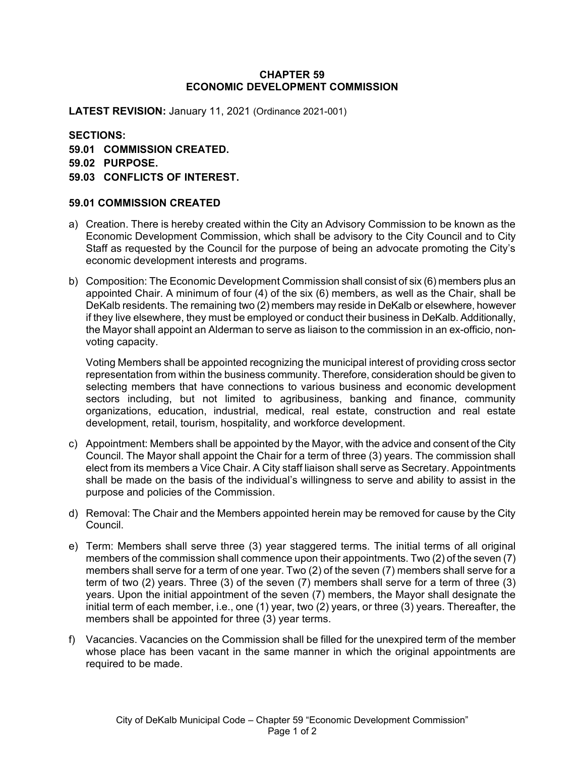## **CHAPTER 59 ECONOMIC DEVELOPMENT COMMISSION**

**LATEST REVISION:** January 11, 2021 (Ordinance 2021-001)

**SECTIONS: 59.01 COMMISSION CREATED. 59.02 PURPOSE. 59.03 CONFLICTS OF INTEREST.**

## **59.01 COMMISSION CREATED**

- a) Creation. There is hereby created within the City an Advisory Commission to be known as the Economic Development Commission, which shall be advisory to the City Council and to City Staff as requested by the Council for the purpose of being an advocate promoting the City's economic development interests and programs.
- b) Composition: The Economic Development Commission shall consist of six (6) members plus an appointed Chair. A minimum of four (4) of the six (6) members, as well as the Chair, shall be DeKalb residents. The remaining two (2) members may reside in DeKalb or elsewhere, however if they live elsewhere, they must be employed or conduct their business in DeKalb. Additionally, the Mayor shall appoint an Alderman to serve as liaison to the commission in an ex-officio, nonvoting capacity.

Voting Members shall be appointed recognizing the municipal interest of providing cross sector representation from within the business community. Therefore, consideration should be given to selecting members that have connections to various business and economic development sectors including, but not limited to agribusiness, banking and finance, community organizations, education, industrial, medical, real estate, construction and real estate development, retail, tourism, hospitality, and workforce development.

- c) Appointment: Members shall be appointed by the Mayor, with the advice and consent of the City Council. The Mayor shall appoint the Chair for a term of three (3) years. The commission shall elect from its members a Vice Chair. A City staff liaison shall serve as Secretary. Appointments shall be made on the basis of the individual's willingness to serve and ability to assist in the purpose and policies of the Commission.
- d) Removal: The Chair and the Members appointed herein may be removed for cause by the City Council.
- e) Term: Members shall serve three (3) year staggered terms. The initial terms of all original members of the commission shall commence upon their appointments. Two (2) of the seven (7) members shall serve for a term of one year. Two (2) of the seven (7) members shall serve for a term of two (2) years. Three (3) of the seven (7) members shall serve for a term of three (3) years. Upon the initial appointment of the seven (7) members, the Mayor shall designate the initial term of each member, i.e., one (1) year, two (2) years, or three (3) years. Thereafter, the members shall be appointed for three (3) year terms.
- f) Vacancies. Vacancies on the Commission shall be filled for the unexpired term of the member whose place has been vacant in the same manner in which the original appointments are required to be made.